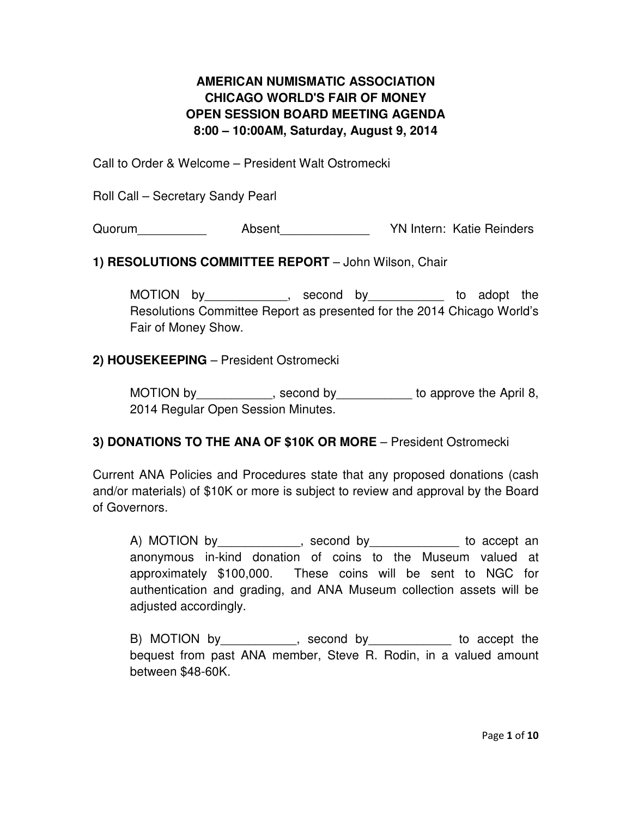## **AMERICAN NUMISMATIC ASSOCIATION CHICAGO WORLD'S FAIR OF MONEY OPEN SESSION BOARD MEETING AGENDA 8:00 – 10:00AM, Saturday, August 9, 2014**

Call to Order & Welcome – President Walt Ostromecki

Roll Call – Secretary Sandy Pearl

Quorum **Absent** Absent **YN Intern: Katie Reinders** 

#### **1) RESOLUTIONS COMMITTEE REPORT** – John Wilson, Chair

MOTION by\_\_\_\_\_\_\_\_\_\_\_\_, second by\_\_\_\_\_\_\_\_\_\_\_ to adopt the Resolutions Committee Report as presented for the 2014 Chicago World's Fair of Money Show.

### **2) HOUSEKEEPING** – President Ostromecki

MOTION by example by second by to approve the April 8, 2014 Regular Open Session Minutes.

## **3) DONATIONS TO THE ANA OF \$10K OR MORE** – President Ostromecki

Current ANA Policies and Procedures state that any proposed donations (cash and/or materials) of \$10K or more is subject to review and approval by the Board of Governors.

A) MOTION by example by second by to accept an anonymous in-kind donation of coins to the Museum valued at approximately \$100,000. These coins will be sent to NGC for authentication and grading, and ANA Museum collection assets will be adjusted accordingly.

B) MOTION by example by second by to accept the bequest from past ANA member, Steve R. Rodin, in a valued amount between \$48-60K.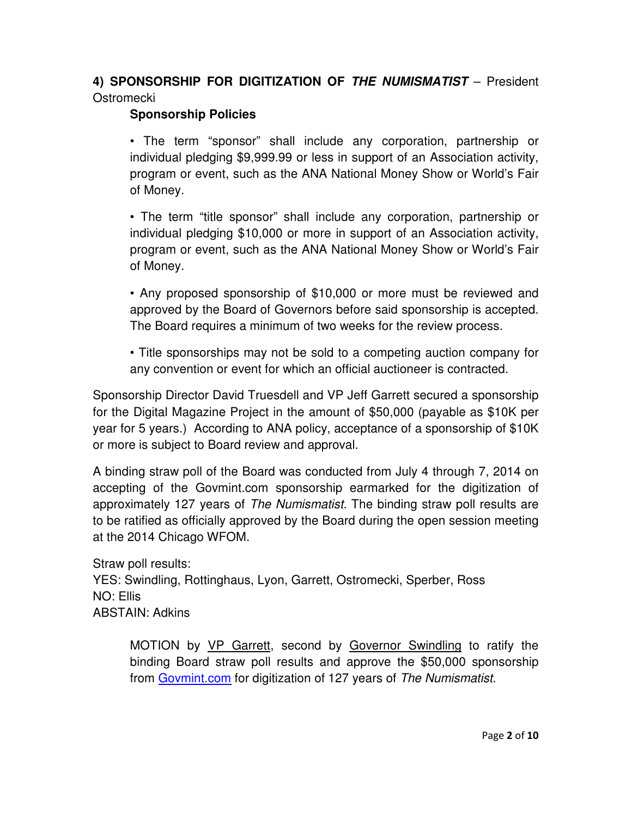# **4) SPONSORSHIP FOR DIGITIZATION OF THE NUMISMATIST** – President **Ostromecki**

### **Sponsorship Policies**

• The term "sponsor" shall include any corporation, partnership or individual pledging \$9,999.99 or less in support of an Association activity, program or event, such as the ANA National Money Show or World's Fair of Money.

• The term "title sponsor" shall include any corporation, partnership or individual pledging \$10,000 or more in support of an Association activity, program or event, such as the ANA National Money Show or World's Fair of Money.

• Any proposed sponsorship of \$10,000 or more must be reviewed and approved by the Board of Governors before said sponsorship is accepted. The Board requires a minimum of two weeks for the review process.

• Title sponsorships may not be sold to a competing auction company for any convention or event for which an official auctioneer is contracted.

Sponsorship Director David Truesdell and VP Jeff Garrett secured a sponsorship for the Digital Magazine Project in the amount of \$50,000 (payable as \$10K per year for 5 years.) According to ANA policy, acceptance of a sponsorship of \$10K or more is subject to Board review and approval.

A binding straw poll of the Board was conducted from July 4 through 7, 2014 on accepting of the Govmint.com sponsorship earmarked for the digitization of approximately 127 years of The Numismatist. The binding straw poll results are to be ratified as officially approved by the Board during the open session meeting at the 2014 Chicago WFOM.

Straw poll results: YES: Swindling, Rottinghaus, Lyon, Garrett, Ostromecki, Sperber, Ross NO: Ellis ABSTAIN: Adkins

MOTION by VP Garrett, second by Governor Swindling to ratify the binding Board straw poll results and approve the \$50,000 sponsorship from Govmint.com for digitization of 127 years of The Numismatist.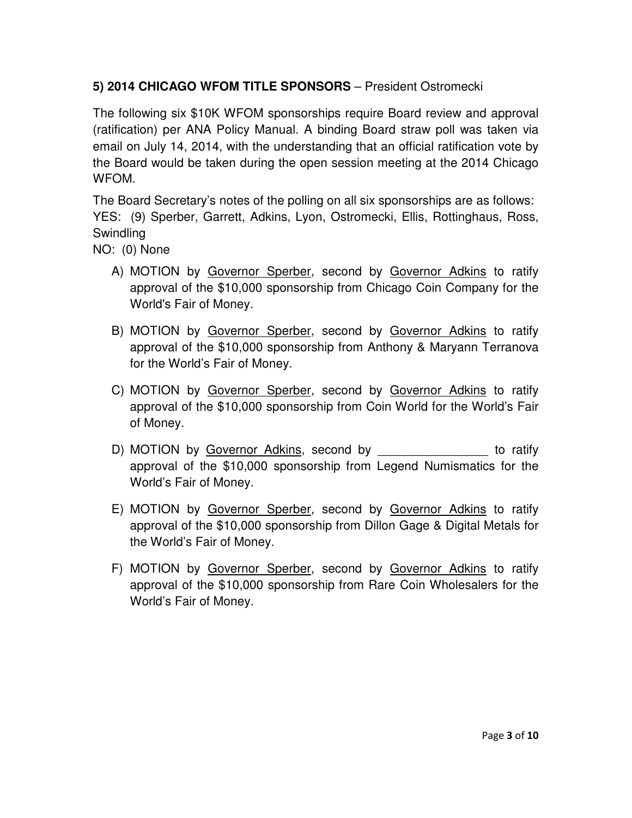# **5) 2014 CHICAGO WFOM TITLE SPONSORS** – President Ostromecki

The following six \$10K WFOM sponsorships require Board review and approval (ratification) per ANA Policy Manual. A binding Board straw poll was taken via email on July 14, 2014, with the understanding that an official ratification vote by the Board would be taken during the open session meeting at the 2014 Chicago WFOM.

The Board Secretary's notes of the polling on all six sponsorships are as follows: YES: (9) Sperber, Garrett, Adkins, Lyon, Ostromecki, Ellis, Rottinghaus, Ross, **Swindling** 

NO: (0) None

- A) MOTION by Governor Sperber, second by Governor Adkins to ratify approval of the \$10,000 sponsorship from Chicago Coin Company for the World's Fair of Money.
- B) MOTION by Governor Sperber, second by Governor Adkins to ratify approval of the \$10,000 sponsorship from Anthony & Maryann Terranova for the World's Fair of Money.
- C) MOTION by Governor Sperber, second by Governor Adkins to ratify approval of the \$10,000 sponsorship from Coin World for the World's Fair of Money.
- D) MOTION by Governor Adkins, second by **Example 20** to ratify approval of the \$10,000 sponsorship from Legend Numismatics for the World's Fair of Money.
- E) MOTION by Governor Sperber, second by Governor Adkins to ratify approval of the \$10,000 sponsorship from Dillon Gage & Digital Metals for the World's Fair of Money.
- F) MOTION by Governor Sperber, second by Governor Adkins to ratify approval of the \$10,000 sponsorship from Rare Coin Wholesalers for the World's Fair of Money.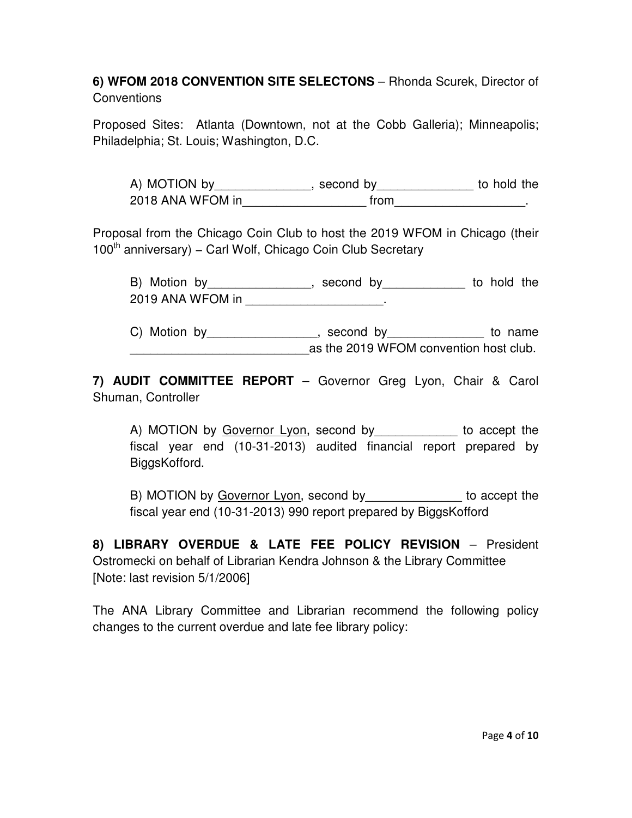## **6) WFOM 2018 CONVENTION SITE SELECTONS** – Rhonda Scurek, Director of **Conventions**

Proposed Sites: Atlanta (Downtown, not at the Cobb Galleria); Minneapolis; Philadelphia; St. Louis; Washington, D.C.

A) MOTION by\_\_\_\_\_\_\_\_\_\_\_\_\_\_, second by\_\_\_\_\_\_\_\_\_\_\_\_\_\_ to hold the 2018 ANA WFOM in the setting from the setting of  $\sim$ 

Proposal from the Chicago Coin Club to host the 2019 WFOM in Chicago (their 100<sup>th</sup> anniversary) – Carl Wolf, Chicago Coin Club Secretary

B) Motion by\_\_\_\_\_\_\_\_\_\_\_\_\_\_\_\_, second by\_\_\_\_\_\_\_\_\_\_\_\_\_ to hold the 2019 ANA WFOM in \_\_\_\_\_\_\_\_\_\_\_\_\_\_\_\_\_\_\_.

C) Motion by\_\_\_\_\_\_\_\_\_\_\_\_\_\_\_\_, second by\_\_\_\_\_\_\_\_\_\_\_\_\_\_\_ to name \_\_\_\_\_\_\_\_\_\_\_\_\_\_\_\_\_\_\_\_\_\_\_\_\_\_as the 2019 WFOM convention host club.

**7) AUDIT COMMITTEE REPORT** – Governor Greg Lyon, Chair & Carol Shuman, Controller

A) MOTION by Governor Lyon, second by \_\_\_\_\_\_\_\_\_\_\_\_ to accept the fiscal year end (10-31-2013) audited financial report prepared by BiggsKofford.

B) MOTION by Governor Lyon, second by example to accept the fiscal year end (10-31-2013) 990 report prepared by BiggsKofford

**8) LIBRARY OVERDUE & LATE FEE POLICY REVISION** – President Ostromecki on behalf of Librarian Kendra Johnson & the Library Committee [Note: last revision 5/1/2006]

The ANA Library Committee and Librarian recommend the following policy changes to the current overdue and late fee library policy: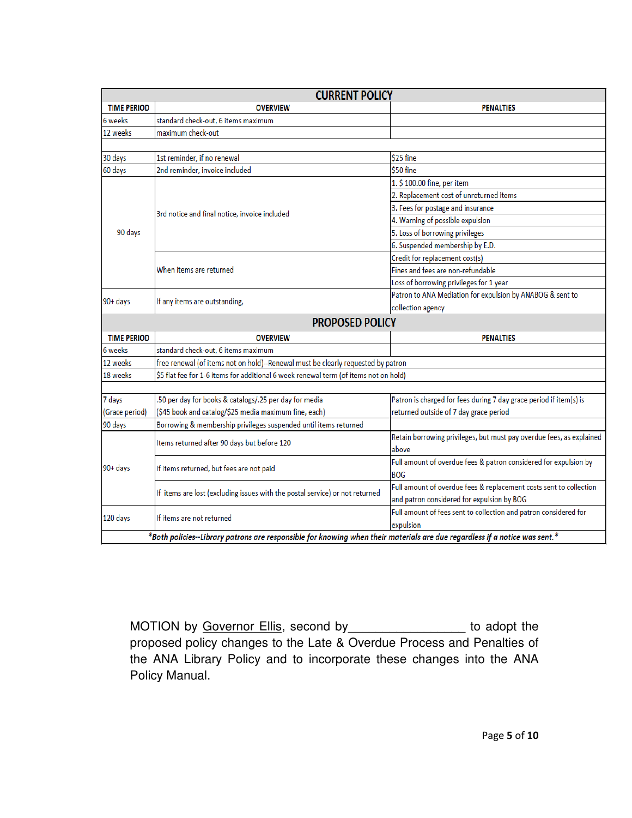|                    | <b>CURRENT POLICY</b>                                                                                                      |                                                                      |  |  |  |
|--------------------|----------------------------------------------------------------------------------------------------------------------------|----------------------------------------------------------------------|--|--|--|
| <b>TIME PERIOD</b> | <b>OVERVIEW</b>                                                                                                            | <b>PENALTIES</b>                                                     |  |  |  |
| 6 weeks            | standard check-out, 6 items maximum                                                                                        |                                                                      |  |  |  |
| 12 weeks           | maximum check-out                                                                                                          |                                                                      |  |  |  |
|                    |                                                                                                                            |                                                                      |  |  |  |
| 30 days            | 1st reminder, if no renewal                                                                                                | \$25 fine                                                            |  |  |  |
| 60 days            | 2nd reminder, invoice included                                                                                             | \$50 fine                                                            |  |  |  |
|                    |                                                                                                                            | 1. \$100.00 fine, per item                                           |  |  |  |
|                    |                                                                                                                            | 2. Replacement cost of unreturned items                              |  |  |  |
|                    |                                                                                                                            | 3. Fees for postage and insurance                                    |  |  |  |
|                    | 3rd notice and final notice, invoice included                                                                              | 4. Warning of possible expulsion                                     |  |  |  |
| 90 days            |                                                                                                                            | 5. Loss of borrowing privileges                                      |  |  |  |
|                    |                                                                                                                            | 6. Suspended membership by E.D.                                      |  |  |  |
|                    |                                                                                                                            | Credit for replacement cost(s)                                       |  |  |  |
|                    | When items are returned                                                                                                    | Fines and fees are non-refundable                                    |  |  |  |
|                    |                                                                                                                            | Loss of borrowing privileges for 1 year                              |  |  |  |
| 90+ days           |                                                                                                                            | Patron to ANA Mediation for expulsion by ANABOG & sent to            |  |  |  |
|                    | If any items are outstanding,                                                                                              | collection agency                                                    |  |  |  |
|                    | <b>PROPOSED POLICY</b>                                                                                                     |                                                                      |  |  |  |
| <b>TIME PERIOD</b> | <b>OVERVIEW</b>                                                                                                            | <b>PENALTIES</b>                                                     |  |  |  |
| 6 weeks            | standard check-out, 6 items maximum                                                                                        |                                                                      |  |  |  |
| 12 weeks           | free renewal (of items not on hold)--Renewal must be clearly requested by patron                                           |                                                                      |  |  |  |
| 18 weeks           | \$5 flat fee for 1-6 items for additional 6 week renewal term (of items not on hold)                                       |                                                                      |  |  |  |
|                    |                                                                                                                            |                                                                      |  |  |  |
| 7 days             | .50 per day for books & catalogs/.25 per day for media                                                                     | Patron is charged for fees during 7 day grace period if item(s) is   |  |  |  |
| (Grace period)     | (\$45 book and catalog/\$25 media maximum fine, each)                                                                      | returned outside of 7 day grace period                               |  |  |  |
| 90 days            | Borrowing & membership privileges suspended until items returned                                                           |                                                                      |  |  |  |
| 90+ days           |                                                                                                                            | Retain borrowing privileges, but must pay overdue fees, as explained |  |  |  |
|                    | Items returned after 90 days but before 120                                                                                | above                                                                |  |  |  |
|                    |                                                                                                                            | Full amount of overdue fees & patron considered for expulsion by     |  |  |  |
|                    | If items returned, but fees are not paid                                                                                   | <b>BOG</b>                                                           |  |  |  |
|                    |                                                                                                                            | Full amount of overdue fees & replacement costs sent to collection   |  |  |  |
|                    | If items are lost (excluding issues with the postal service) or not returned                                               | and patron considered for expulsion by BOG                           |  |  |  |
|                    |                                                                                                                            | Full amount of fees sent to collection and patron considered for     |  |  |  |
| 120 days           | If items are not returned                                                                                                  | expulsion                                                            |  |  |  |
|                    | *Both policies--Library patrons are responsible for knowing when their materials are due regardless if a notice was sent.* |                                                                      |  |  |  |

MOTION by Governor Ellis, second by \_\_\_\_\_\_\_\_\_\_\_\_\_\_\_\_\_\_ to adopt the proposed policy changes to the Late & Overdue Process and Penalties of the ANA Library Policy and to incorporate these changes into the ANA Policy Manual.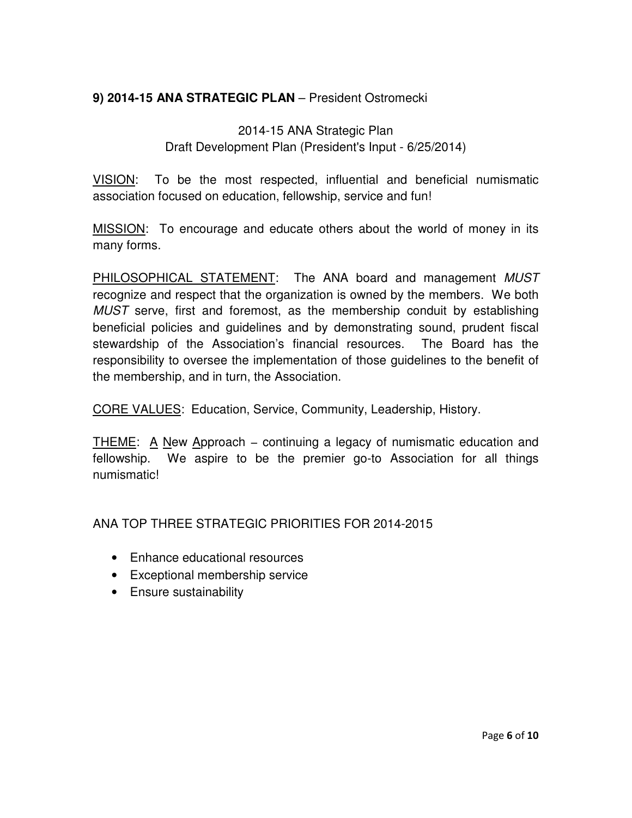## **9) 2014-15 ANA STRATEGIC PLAN** – President Ostromecki

# 2014-15 ANA Strategic Plan Draft Development Plan (President's Input - 6/25/2014)

VISION: To be the most respected, influential and beneficial numismatic association focused on education, fellowship, service and fun!

MISSION: To encourage and educate others about the world of money in its many forms.

PHILOSOPHICAL STATEMENT: The ANA board and management MUST recognize and respect that the organization is owned by the members. We both MUST serve, first and foremost, as the membership conduit by establishing beneficial policies and guidelines and by demonstrating sound, prudent fiscal stewardship of the Association's financial resources. The Board has the responsibility to oversee the implementation of those guidelines to the benefit of the membership, and in turn, the Association.

CORE VALUES: Education, Service, Community, Leadership, History.

THEME: A New Approach – continuing a legacy of numismatic education and fellowship. We aspire to be the premier go-to Association for all things numismatic!

ANA TOP THREE STRATEGIC PRIORITIES FOR 2014-2015

- Enhance educational resources
- Exceptional membership service
- Ensure sustainability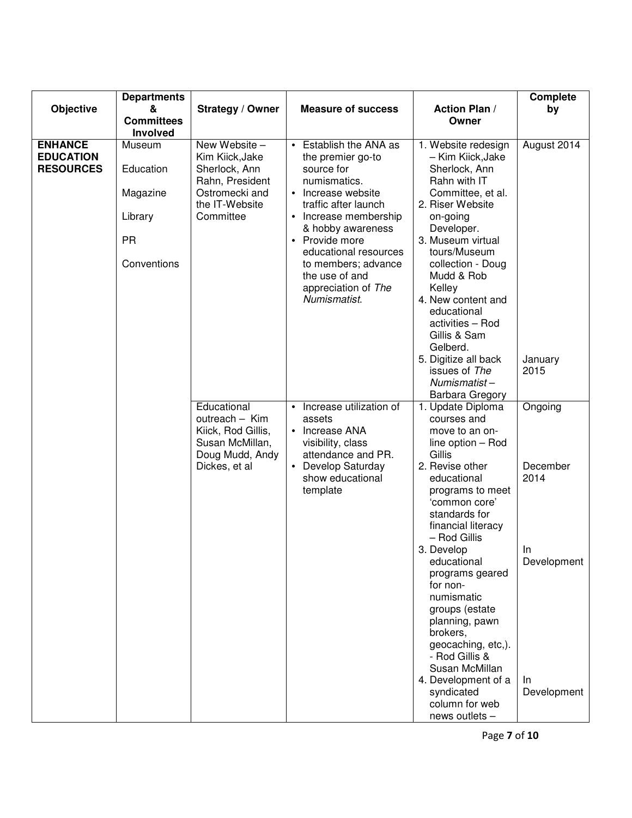|                                                        | <b>Departments</b>                                                     |                                                                                                                       |                                                                                                                                                                                                                                                                                                  |                                                                                                                                                                                                                                                                                         | <b>Complete</b>                    |
|--------------------------------------------------------|------------------------------------------------------------------------|-----------------------------------------------------------------------------------------------------------------------|--------------------------------------------------------------------------------------------------------------------------------------------------------------------------------------------------------------------------------------------------------------------------------------------------|-----------------------------------------------------------------------------------------------------------------------------------------------------------------------------------------------------------------------------------------------------------------------------------------|------------------------------------|
| Objective                                              | &                                                                      | Strategy / Owner                                                                                                      | <b>Measure of success</b>                                                                                                                                                                                                                                                                        | <b>Action Plan /</b>                                                                                                                                                                                                                                                                    | by                                 |
|                                                        | <b>Committees</b>                                                      |                                                                                                                       |                                                                                                                                                                                                                                                                                                  | Owner                                                                                                                                                                                                                                                                                   |                                    |
|                                                        | Involved                                                               |                                                                                                                       |                                                                                                                                                                                                                                                                                                  |                                                                                                                                                                                                                                                                                         |                                    |
| <b>ENHANCE</b><br><b>EDUCATION</b><br><b>RESOURCES</b> | Museum<br>Education<br>Magazine<br>Library<br><b>PR</b><br>Conventions | New Website -<br>Kim Kiick, Jake<br>Sherlock, Ann<br>Rahn, President<br>Ostromecki and<br>the IT-Website<br>Committee | • Establish the ANA as<br>the premier go-to<br>source for<br>numismatics.<br>• Increase website<br>traffic after launch<br>• Increase membership<br>& hobby awareness<br>• Provide more<br>educational resources<br>to members; advance<br>the use of and<br>appreciation of The<br>Numismatist. | 1. Website redesign<br>- Kim Kiick, Jake<br>Sherlock, Ann<br>Rahn with IT<br>Committee, et al.<br>2. Riser Website<br>on-going<br>Developer.<br>3. Museum virtual<br>tours/Museum<br>collection - Doug<br>Mudd & Rob<br>Kelley<br>4. New content and<br>educational<br>activities - Rod | August 2014                        |
|                                                        |                                                                        |                                                                                                                       |                                                                                                                                                                                                                                                                                                  | Gillis & Sam<br>Gelberd.<br>5. Digitize all back<br>issues of The<br>Numismatist-<br><b>Barbara Gregory</b>                                                                                                                                                                             | January<br>2015                    |
|                                                        |                                                                        | Educational<br>outreach - Kim<br>Kiick, Rod Gillis,<br>Susan McMillan,<br>Doug Mudd, Andy<br>Dickes, et al            | Increase utilization of<br>$\bullet$<br>assets<br>• Increase ANA<br>visibility, class<br>attendance and PR.<br>Develop Saturday<br>$\bullet$<br>show educational<br>template                                                                                                                     | 1. Update Diploma<br>courses and<br>move to an on-<br>line option - Rod<br>Gillis<br>2. Revise other<br>educational<br>programs to meet<br>'common core'<br>standards for<br>financial literacy<br>- Rod Gillis<br>3. Develop                                                           | Ongoing<br>December<br>2014<br>In. |
|                                                        |                                                                        |                                                                                                                       |                                                                                                                                                                                                                                                                                                  | educational<br>programs geared<br>for non-<br>numismatic<br>groups (estate<br>planning, pawn<br>brokers,<br>geocaching, etc,).<br>- Rod Gillis &<br>Susan McMillan<br>4. Development of a<br>syndicated<br>column for web<br>news outlets -                                             | Development<br>In.<br>Development  |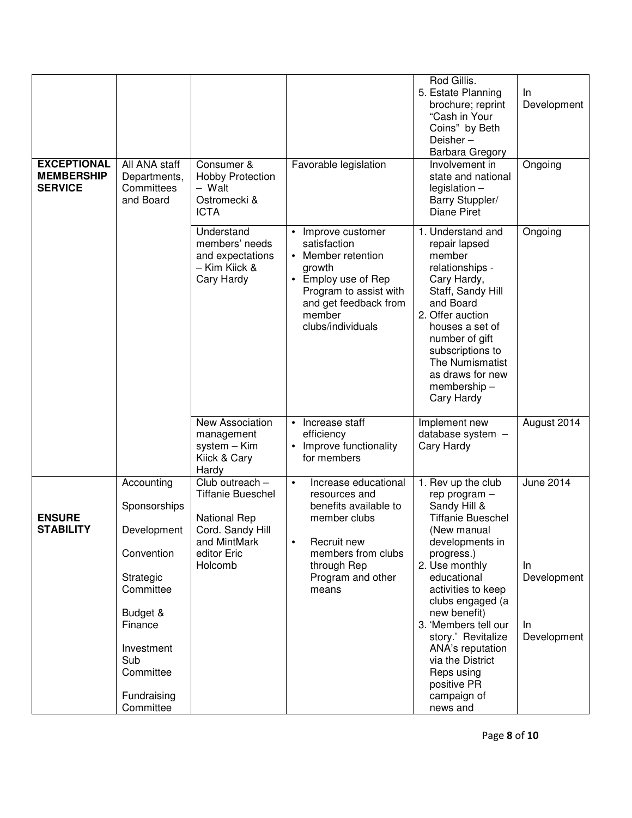| <b>EXCEPTIONAL</b><br><b>MEMBERSHIP</b><br><b>SERVICE</b> | All ANA staff<br>Departments,<br>Committees<br>and Board                                                                                                               | Consumer &<br><b>Hobby Protection</b><br>- Walt<br>Ostromecki &<br><b>ICTA</b>                                                   | Favorable legislation                                                                                                                                                                  | Rod Gillis.<br>5. Estate Planning<br>brochure; reprint<br>"Cash in Your<br>Coins" by Beth<br>Deisher-<br><b>Barbara Gregory</b><br>Involvement in<br>state and national<br>$legislation -$<br>Barry Stuppler/<br><b>Diane Piret</b>                                                                                                                                      | In.<br>Development<br>Ongoing                               |
|-----------------------------------------------------------|------------------------------------------------------------------------------------------------------------------------------------------------------------------------|----------------------------------------------------------------------------------------------------------------------------------|----------------------------------------------------------------------------------------------------------------------------------------------------------------------------------------|--------------------------------------------------------------------------------------------------------------------------------------------------------------------------------------------------------------------------------------------------------------------------------------------------------------------------------------------------------------------------|-------------------------------------------------------------|
|                                                           |                                                                                                                                                                        | Understand<br>members' needs<br>and expectations<br>– Kim Kiick &<br>Cary Hardy                                                  | Improve customer<br>$\bullet$<br>satisfaction<br>• Member retention<br>growth<br>• Employ use of Rep<br>Program to assist with<br>and get feedback from<br>member<br>clubs/individuals | 1. Understand and<br>repair lapsed<br>member<br>relationships -<br>Cary Hardy,<br>Staff, Sandy Hill<br>and Board<br>2. Offer auction<br>houses a set of<br>number of gift<br>subscriptions to<br>The Numismatist<br>as draws for new<br>membership-<br>Cary Hardy                                                                                                        | Ongoing                                                     |
|                                                           |                                                                                                                                                                        | New Association<br>management<br>system - Kim<br>Kiick & Cary<br>Hardy                                                           | Increase staff<br>$\bullet$<br>efficiency<br>Improve functionality<br>for members                                                                                                      | Implement new<br>database system -<br>Cary Hardy                                                                                                                                                                                                                                                                                                                         | August 2014                                                 |
| <b>ENSURE</b><br><b>STABILITY</b>                         | Accounting<br>Sponsorships<br>Development<br>Convention<br>Strategic<br>Committee<br>Budget &<br>Finance<br>Investment<br>Sub<br>Committee<br>Fundraising<br>Committee | Club outreach -<br><b>Tiffanie Bueschel</b><br><b>National Rep</b><br>Cord. Sandy Hill<br>and MintMark<br>editor Eric<br>Holcomb | Increase educational<br>$\bullet$<br>resources and<br>benefits available to<br>member clubs<br>Recruit new<br>members from clubs<br>through Rep<br>Program and other<br>means          | 1. Rev up the club<br>rep program -<br>Sandy Hill &<br><b>Tiffanie Bueschel</b><br>(New manual<br>developments in<br>progress.)<br>2. Use monthly<br>educational<br>activities to keep<br>clubs engaged (a<br>new benefit)<br>3. 'Members tell our<br>story.' Revitalize<br>ANA's reputation<br>via the District<br>Reps using<br>positive PR<br>campaign of<br>news and | <b>June 2014</b><br>In.<br>Development<br>In<br>Development |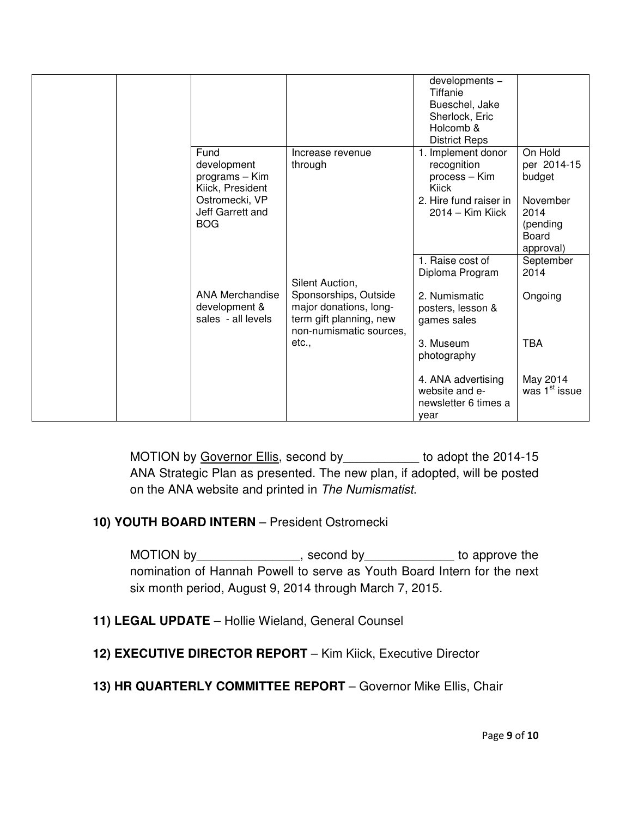|                                                                                                               |                                                                                                                          | developments -<br>Tiffanie<br>Bueschel, Jake<br>Sherlock, Eric<br>Holcomb &<br><b>District Reps</b>       |                                                                                        |
|---------------------------------------------------------------------------------------------------------------|--------------------------------------------------------------------------------------------------------------------------|-----------------------------------------------------------------------------------------------------------|----------------------------------------------------------------------------------------|
| Fund<br>development<br>programs - Kim<br>Kiick, President<br>Ostromecki, VP<br>Jeff Garrett and<br><b>BOG</b> | Increase revenue<br>through                                                                                              | 1. Implement donor<br>recognition<br>process - Kim<br>Kiick<br>2. Hire fund raiser in<br>2014 - Kim Kiick | On Hold<br>per 2014-15<br>budget<br>November<br>2014<br>(pending<br>Board<br>approval) |
| <b>ANA Merchandise</b><br>development &<br>sales - all levels                                                 | Silent Auction,<br>Sponsorships, Outside<br>major donations, long-<br>term gift planning, new<br>non-numismatic sources, | 1. Raise cost of<br>Diploma Program<br>2. Numismatic<br>posters, lesson &<br>games sales                  | September<br>2014<br>Ongoing                                                           |
|                                                                                                               | etc.,                                                                                                                    | 3. Museum<br>photography<br>4. ANA advertising<br>website and e-<br>newsletter 6 times a                  | <b>TBA</b><br>May 2014<br>was 1 <sup>st</sup> issue                                    |

MOTION by Governor Ellis, second by \_\_\_\_\_\_\_\_\_\_\_ to adopt the 2014-15 ANA Strategic Plan as presented. The new plan, if adopted, will be posted on the ANA website and printed in The Numismatist.

#### **10) YOUTH BOARD INTERN** – President Ostromecki

MOTION by\_\_\_\_\_\_\_\_\_\_\_\_\_\_\_\_, second by\_\_\_\_\_\_\_\_\_\_\_\_\_\_ to approve the nomination of Hannah Powell to serve as Youth Board Intern for the next six month period, August 9, 2014 through March 7, 2015.

- **11) LEGAL UPDATE** Hollie Wieland, General Counsel
- **12) EXECUTIVE DIRECTOR REPORT** Kim Kiick, Executive Director
- **13) HR QUARTERLY COMMITTEE REPORT** Governor Mike Ellis, Chair